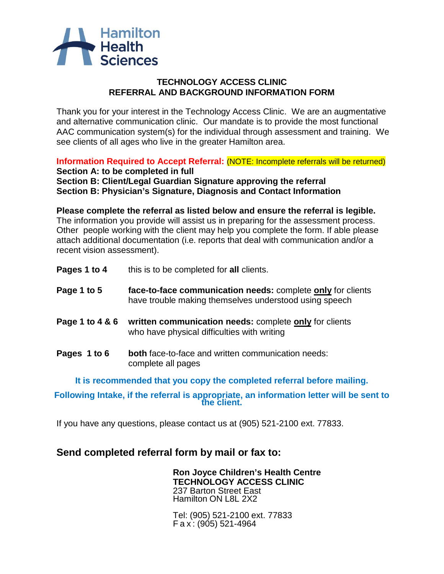

# **TECHNOLOGY ACCESS CLINIC REFERRAL AND BACKGROUND INFORMATION FORM**

Thank you for your interest in the Technology Access Clinic. We are an augmentative and alternative communication clinic. Our mandate is to provide the most functional AAC communication system(s) for the individual through assessment and training. We see clients of all ages who live in the greater Hamilton area.

**Information Required to Accept Referral:** (NOTE: Incomplete referrals will be returned) **Section A: to be completed in full Section B: Client/Legal Guardian Signature approving the referral Section B: Physician's Signature, Diagnosis and Contact Information**

**Please complete the referral as listed below and ensure the referral is legible.** 

The information you provide will assist us in preparing for the assessment process. Other people working with the client may help you complete the form. If able please attach additional documentation (i.e. reports that deal with communication and/or a recent vision assessment).

| Pages 1 to 4    | this is to be completed for all clients.                                                                              |
|-----------------|-----------------------------------------------------------------------------------------------------------------------|
| Page 1 to 5     | face-to-face communication needs: complete only for clients<br>have trouble making themselves understood using speech |
| Page 1 to 4 & 6 | written communication needs: complete only for clients<br>who have physical difficulties with writing                 |
| Pages 1 to 6    | <b>both</b> face-to-face and written communication needs:<br>complete all pages                                       |

**It is recommended that you copy the completed referral before mailing.** 

**Following Intake, if the referral is appropriate, an information letter will be sent to the client.**

If you have any questions, please contact us at (905) 521-2100 ext. 77833.

# **Send completed referral form by mail or fax to:**

**Ron Joyce Children's Health Centre TECHNOLOGY ACCESS CLINIC** 237 Barton Street East Hamilton ON L8L 2X2

Tel: (905) 521-2100 ext. 77833  $Fa x$ : (905) 521-4964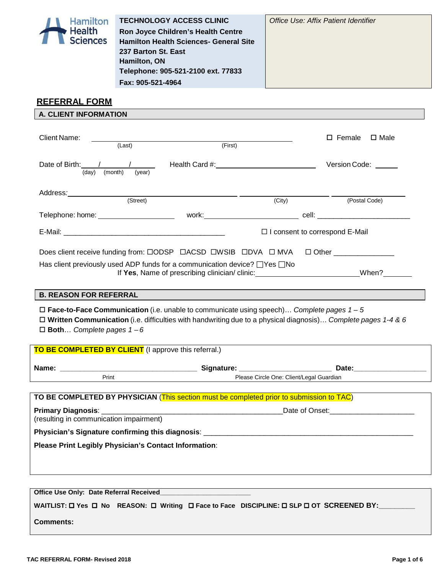| Hamilton<br><b>Health</b><br><b>Sciences</b> | <b>TECHNOLOGY ACCESS CLINIC</b><br>Ron Joyce Children's Health Centre<br><b>Hamilton Health Sciences- General Site</b><br>237 Barton St. East<br>Hamilton, ON<br>Telephone: 905-521-2100 ext. 77833<br>Fax: 905-521-4964 | <b>Office Use: Affix Patient Identifier</b> |
|----------------------------------------------|--------------------------------------------------------------------------------------------------------------------------------------------------------------------------------------------------------------------------|---------------------------------------------|
|----------------------------------------------|--------------------------------------------------------------------------------------------------------------------------------------------------------------------------------------------------------------------------|---------------------------------------------|

# **REFERRAL FORM**

#### **A. CLIENT INFORMATION**

| Client Name: | (Last)                                                                                | (First)                                        |        | Female<br>П                           | $\square$ Male |
|--------------|---------------------------------------------------------------------------------------|------------------------------------------------|--------|---------------------------------------|----------------|
| (day)        | Date of Birth: / /<br>(year)<br>(month)                                               |                                                |        | Version Code: <u>______</u>           |                |
| Address:     | (Street)                                                                              |                                                | (City) | (Postal Code)                         |                |
|              | Telephone: home: www.communications.com                                               |                                                |        |                                       |                |
|              |                                                                                       |                                                |        | $\Box$ I consent to correspond E-Mail |                |
|              | Does client receive funding from: □ODSP □ACSD □WSIB □DVA □ MVA                        |                                                |        | $\Box$ Other $\Box$                   |                |
|              | Has client previously used ADP funds for a communication device? $\Box$ Yes $\Box$ No | If Yes, Name of prescribing clinician/ clinic: |        |                                       | When?          |

#### **B. REASON FOR REFERRAL**

 **Face-to-Face Communication** (i.e. unable to communicate using speech)… *Complete pages 1 – 5* **Written Communication** (i.e. difficulties with handwriting due to a physical diagnosis)… *Complete pages 1-4 & 6* **Both**… *Complete pages 1 – 6*

| <b>TO BE COMPLETED BY CLIENT</b> (I approve this referral.)                              |  |                                          |  |  |  |
|------------------------------------------------------------------------------------------|--|------------------------------------------|--|--|--|
|                                                                                          |  | Date: ______________                     |  |  |  |
| Print                                                                                    |  | Please Circle One: Client/Legal Guardian |  |  |  |
| TO BE COMPLETED BY PHYSICIAN (This section must be completed prior to submission to TAC) |  |                                          |  |  |  |
| Date of Onset: <b>Example 20</b><br>(resulting in communication impairment)              |  |                                          |  |  |  |
| Physician's Signature confirming this diagnosis: _______________________________         |  |                                          |  |  |  |
| <b>Please Print Legibly Physician's Contact Information:</b>                             |  |                                          |  |  |  |
|                                                                                          |  |                                          |  |  |  |
|                                                                                          |  |                                          |  |  |  |
|                                                                                          |  |                                          |  |  |  |

**Office Use Only: Date Referral Received\_** 

**WAITLIST:**  $\Box$  Yes  $\Box$  No REASON:  $\Box$  Writing  $\Box$  Face to Face DISCIPLINE:  $\Box$  SLP  $\Box$  OT SCREENED BY:

**Comments:**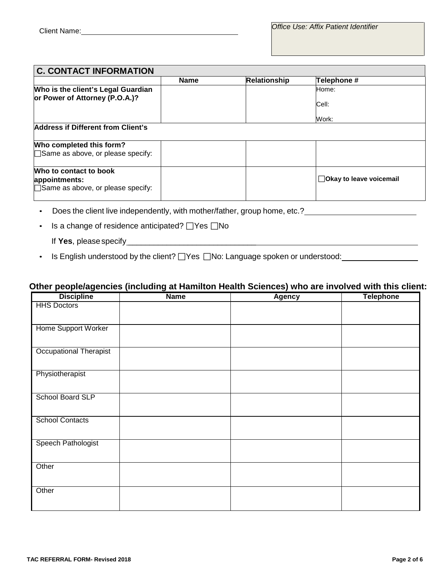| <b>C. CONTACT INFORMATION</b>                                                |             |                     |                          |
|------------------------------------------------------------------------------|-------------|---------------------|--------------------------|
|                                                                              | <b>Name</b> | <b>Relationship</b> | <b>Telephone #</b>       |
| Who is the client's Legal Guardian                                           |             |                     | Home:                    |
| or Power of Attorney (P.O.A.)?                                               |             |                     | Cell:                    |
|                                                                              |             |                     | Work:                    |
| Address if Different from Client's                                           |             |                     |                          |
| Who completed this form?                                                     |             |                     |                          |
| Same as above, or please specify:                                            |             |                     |                          |
| Who to contact to book<br>appointments:<br>Same as above, or please specify: |             |                     | □Okay to leave voicemail |
|                                                                              |             |                     |                          |

- Does the client live independently, with mother/father, group home, etc.?
- Is a change of residence anticipated?  $\Box$  Yes  $\Box$  No
	- If **Yes**, please specify \_\_\_\_\_\_\_\_\_\_\_\_\_\_\_\_\_\_\_\_\_\_\_\_\_\_\_\_\_\_
- Is English understood by the client? Yes No: Language spoken or understood:

# **Other people/agencies (including at Hamilton Health Sciences) who are involved with this client:**

| <b>Discipline</b>             | <b>Name</b> | <b>Agency</b> | <b>Telephone</b> |
|-------------------------------|-------------|---------------|------------------|
| <b>HHS Doctors</b>            |             |               |                  |
|                               |             |               |                  |
| Home Support Worker           |             |               |                  |
|                               |             |               |                  |
| <b>Occupational Therapist</b> |             |               |                  |
|                               |             |               |                  |
| Physiotherapist               |             |               |                  |
|                               |             |               |                  |
| School Board SLP              |             |               |                  |
|                               |             |               |                  |
| <b>School Contacts</b>        |             |               |                  |
|                               |             |               |                  |
| Speech Pathologist            |             |               |                  |
|                               |             |               |                  |
| Other                         |             |               |                  |
|                               |             |               |                  |
| Other                         |             |               |                  |
|                               |             |               |                  |
|                               |             |               |                  |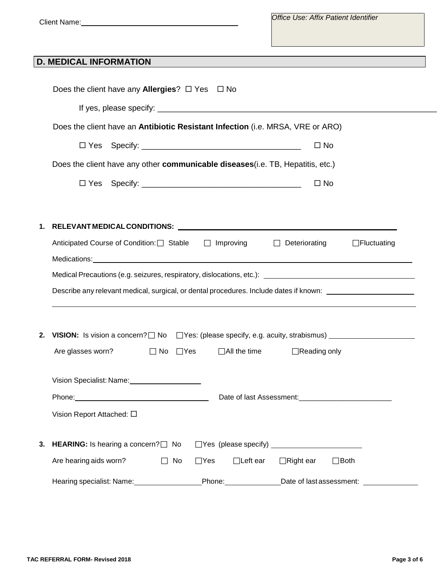# **D. MEDICAL INFORMATION**

|    | Does the client have any <b>Allergies</b> ? $\Box$ Yes $\Box$ No                                                                                                                                                               |
|----|--------------------------------------------------------------------------------------------------------------------------------------------------------------------------------------------------------------------------------|
|    |                                                                                                                                                                                                                                |
|    | Does the client have an Antibiotic Resistant Infection (i.e. MRSA, VRE or ARO)                                                                                                                                                 |
|    | $\square$ No                                                                                                                                                                                                                   |
|    | Does the client have any other communicable diseases (i.e. TB, Hepatitis, etc.)                                                                                                                                                |
|    | $\Box$ No                                                                                                                                                                                                                      |
|    |                                                                                                                                                                                                                                |
|    |                                                                                                                                                                                                                                |
|    | 1. RELEVANT MEDICAL CONDITIONS: LAND AND ANNOUNCEMENT AND A RELEVANT MEDICAL CONDITIONS:                                                                                                                                       |
|    | Anticipated Course of Condition: Stable □ Improving □ Deteriorating<br>$\Box$ Fluctuating                                                                                                                                      |
|    |                                                                                                                                                                                                                                |
|    | Medical Precautions (e.g. seizures, respiratory, dislocations, etc.): [1995] Medical Precautions (e.g. seizures, respiratory, dislocations, etc.):                                                                             |
|    | Describe any relevant medical, surgical, or dental procedures. Include dates if known: ______________________                                                                                                                  |
|    |                                                                                                                                                                                                                                |
|    |                                                                                                                                                                                                                                |
| 2. | VISION: Is vision a concern? $\Box$ No $\Box$ Yes: (please specify, e.g. acuity, strabismus) $\Box$                                                                                                                            |
|    | Are glasses worn? $\Box$ No $\Box$ Yes $\Box$ All the time $\Box$ Reading only                                                                                                                                                 |
|    |                                                                                                                                                                                                                                |
|    | Vision Specialist: Name: \\squimed{\sqrt{\sqrt{\sqrt{\sqrt{\sqrt{\sqrt{\sqrt{\sqrt{\sqrt{\sqrt{\sqrt{\sqrt{\sqrt{\sqrt{\sqrt{\sqrt{\sqrt{\sqrt{\sqrt{\sqrt{\sqrt{\sqrt{\sqrt{\sqrt{\sqrt{\sqrt{\sqrt{\sqrt{\sqrt{\sqrt{\sqrt{\ |
|    | Phone:<br>Date of last Assessment:                                                                                                                                                                                             |
|    | Vision Report Attached: □                                                                                                                                                                                                      |
|    |                                                                                                                                                                                                                                |
| 3. | □Yes (please specify) <u>_______________________</u><br><b>HEARING:</b> Is hearing a concern? $\Box$ No                                                                                                                        |
|    | Are hearing aids worn?<br>$\Box$ Left ear<br>$\Box$ Both<br>No<br>$\Box$ Right ear<br>$\Box$ Yes                                                                                                                               |
|    | Hearing specialist: Name: ___________________<br>Phone: Date of last assessment:                                                                                                                                               |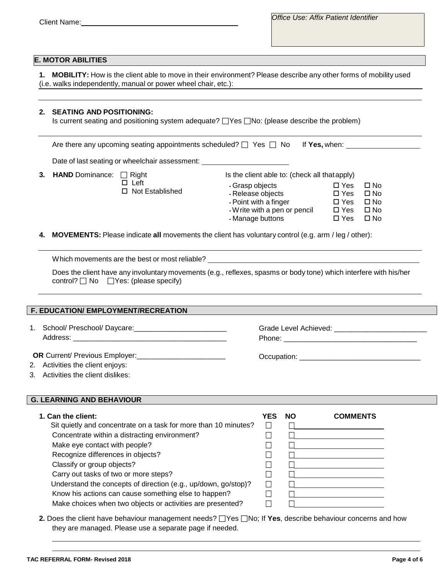#### **E. MOTOR ABILITIES**

**1. MOBILITY:** How is the client able to move in their environment? Please describe any other forms of mobility used (i.e. walks independently, manual or power wheel chair, etc.):

#### **2. SEATING AND POSITIONING:**

Is current seating and positioning system adequate?  $\Box$  Yes  $\Box$  No: (please describe the problem)

|                                                | Are there any upcoming seating appointments scheduled? $\Box$ Yes $\Box$ No |                                                             |                                              | If Yes, when: the same of the same of the same of the same of the same of the same of the same of the same of the same of the same of the same of the same of the same of the same of the same of the same of the same of the |
|------------------------------------------------|-----------------------------------------------------------------------------|-------------------------------------------------------------|----------------------------------------------|-------------------------------------------------------------------------------------------------------------------------------------------------------------------------------------------------------------------------------|
| Date of last seating or wheelchair assessment: |                                                                             |                                                             |                                              |                                                                                                                                                                                                                               |
| 3. HAND Dominance:                             | $\Box$ Right<br>п<br>Left                                                   | Is the client able to: (check all that apply)               |                                              |                                                                                                                                                                                                                               |
|                                                | □ Not Established                                                           | Grasp objects<br>- Release objects<br>. Point with a finger | $\Box$ Yes<br>$\square$ Yes<br>$\square$ Yes | □ No<br>$\square$ No<br>$\square$ No                                                                                                                                                                                          |
|                                                |                                                                             | Write with a pen or pencil                                  | $\Box$ Yes                                   | $\square$ No                                                                                                                                                                                                                  |

**4. MOVEMENTS:** Please indicate **all** movements the client has voluntary control (e.g. arm / leg / other):

Which movements are the best or most reliable?

Does the client have any involuntary movements (e.g., reflexes, spasms or body tone) which interfere with his/her control?  $\Box$  No  $\Box$  Yes: (please specify)

#### **F. EDUCATION/ EMPLOYMENT/RECREATION**

1. School/ Preschool/ Daycare: Address: \_\_\_\_\_\_\_\_\_\_\_\_\_\_\_\_\_\_\_\_\_\_\_\_\_\_\_\_\_\_\_\_\_\_\_\_\_\_

**OR** Current/ Previous Employer:

- 2. Activities the client enjoys:
- 3. Activities the client dislikes:

#### **G. LEARNING AND BEHAVIOUR**

| 1. Can the client:                                              | NΟ | <b>COMMENTS</b> |
|-----------------------------------------------------------------|----|-----------------|
| Sit quietly and concentrate on a task for more than 10 minutes? |    |                 |
| Concentrate within a distracting environment?                   |    |                 |
| Make eye contact with people?                                   |    |                 |
| Recognize differences in objects?                               |    |                 |
| Classify or group objects?                                      |    |                 |
| Carry out tasks of two or more steps?                           |    |                 |
| Understand the concepts of direction (e.g., up/down, go/stop)?  |    |                 |
| Know his actions can cause something else to happen?            |    |                 |
| Make choices when two objects or activities are presented?      |    |                 |

**2.** Does the client have behaviour management needs?  $\Box$  Yes  $\Box$  No; If **Yes**, describe behaviour concerns and how they are managed. Please use a separate page if needed.

Grade Level Achieved: **Example 2018** 

 $\bullet$  Manage buttons  $\Box$  Yes  $\Box$  No

Phone: \_\_\_\_\_\_\_\_\_\_\_\_\_\_\_\_\_\_\_\_\_\_\_\_\_\_\_\_\_\_\_\_\_

Occupation: **with the contract of the contract of the contract of the contract of the contract of the contract of the contract of the contract of the contract of the contract of the contract of the contract of the contract**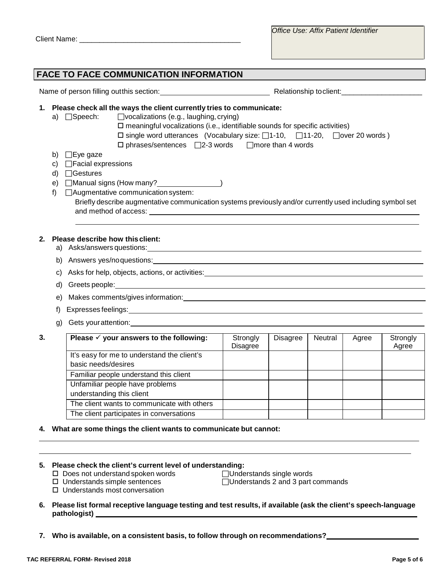|                     |                                                                                                                                                                                                                                                                                                                                                                                                                                                                                                                                                                                                                                                                             |                             | <b>Office Use: Affix Patient Identifier</b> |         |       |          |
|---------------------|-----------------------------------------------------------------------------------------------------------------------------------------------------------------------------------------------------------------------------------------------------------------------------------------------------------------------------------------------------------------------------------------------------------------------------------------------------------------------------------------------------------------------------------------------------------------------------------------------------------------------------------------------------------------------------|-----------------------------|---------------------------------------------|---------|-------|----------|
|                     | <b>FACE TO FACE COMMUNICATION INFORMATION</b>                                                                                                                                                                                                                                                                                                                                                                                                                                                                                                                                                                                                                               |                             |                                             |         |       |          |
|                     | Name of person filling out this section: example and the example of Relationship to client:                                                                                                                                                                                                                                                                                                                                                                                                                                                                                                                                                                                 |                             |                                             |         |       |          |
| C)<br>d)<br>e)<br>f | $\Box$ vocalizations (e.g., laughing, crying)<br>a) □Speech:<br>$\square$ meaningful vocalizations (i.e., identifiable sounds for specific activities)<br>□ single word utterances (Vocabulary size: $\Box$ 1-10, $\Box$ 11-20, $\Box$ over 20 words)<br>$\Box$ phrases/sentences $\Box$ 2-3 words $\Box$ more than 4 words<br>b) $\Box$ Eye gaze<br>□ Facial expressions<br>$\Box$ Gestures<br>□Manual signs (How many? <u>Contact Community</u> )<br>$\Box$ Augmentative communication system:<br>Briefly describe augmentative communication systems previously and/or currently used including symbol set<br>and method of access: <u>example and method</u> of access: |                             |                                             |         |       |          |
| 2.                  | Please describe how this client:<br>a) Asks/answers questions: example and a series of the series of the series of the series of the series of the                                                                                                                                                                                                                                                                                                                                                                                                                                                                                                                          |                             |                                             |         |       |          |
|                     |                                                                                                                                                                                                                                                                                                                                                                                                                                                                                                                                                                                                                                                                             |                             |                                             |         |       |          |
|                     | b) Answers yes/noquestions: example and a series of the series of the series of the series of the series of the series of the series of the series of the series of the series of the series of the series of the series of th                                                                                                                                                                                                                                                                                                                                                                                                                                              |                             |                                             |         |       |          |
|                     | Asks for help, objects, actions, or activities: <b>container and all any of the set of the set of the set of the set of the set of the set of the set of the set of the set of the set of the set of the set of the set of the s</b><br>C)                                                                                                                                                                                                                                                                                                                                                                                                                                  |                             |                                             |         |       |          |
|                     | d)                                                                                                                                                                                                                                                                                                                                                                                                                                                                                                                                                                                                                                                                          |                             |                                             |         |       |          |
|                     | e)                                                                                                                                                                                                                                                                                                                                                                                                                                                                                                                                                                                                                                                                          |                             |                                             |         |       |          |
|                     | f)                                                                                                                                                                                                                                                                                                                                                                                                                                                                                                                                                                                                                                                                          |                             |                                             |         |       |          |
|                     | Gets your attention:<br>g)                                                                                                                                                                                                                                                                                                                                                                                                                                                                                                                                                                                                                                                  |                             |                                             |         |       |          |
| 3.                  | Please $\checkmark$ your answers to the following:                                                                                                                                                                                                                                                                                                                                                                                                                                                                                                                                                                                                                          | Strongly<br><b>Disagree</b> | <b>Disagree</b>                             | Neutral | Agree | Agree    |
|                     | It's easy for me to understand the client's                                                                                                                                                                                                                                                                                                                                                                                                                                                                                                                                                                                                                                 |                             |                                             |         |       |          |
|                     | basic needs/desires<br>Familiar people understand this client                                                                                                                                                                                                                                                                                                                                                                                                                                                                                                                                                                                                               |                             |                                             |         |       | Strongly |

### **4. What are some things the client wants to communicate but cannot:**

# **5. Please check the client's current level of understanding:<br>**  $\Box$  **Does not understand spoken words**  $\Box$  **Understands single words**

The client wants to communicate with others The client participates in conversations

- $\square$  Does not understand spoken words<br> $\square$  Understands simple sentences
	-
- $\Box$ Understands 2 and 3 part commands
- □ Understands most conversation
- 6. Please list formal receptive language testing and test results, if available (ask the client's speech-language **pathologist)**

**7. Who is available, on a consistent basis, to follow through on recommendations?**